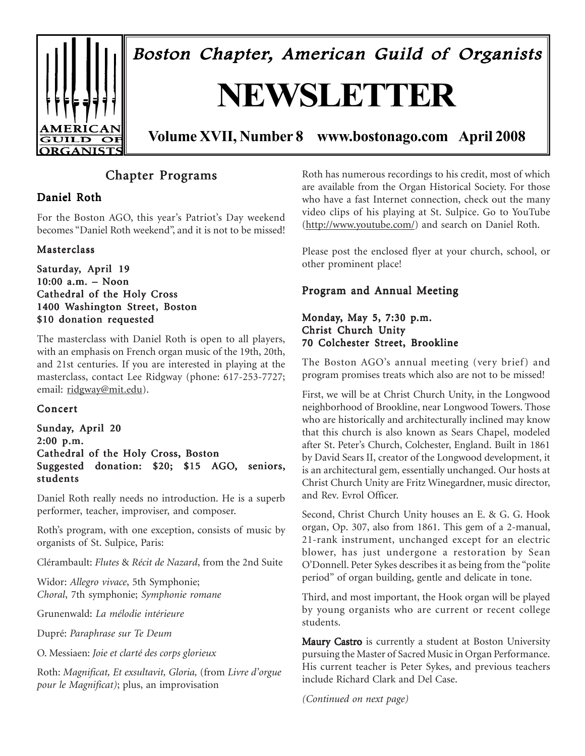

Boston Chapter, American Guild of Organists

# **NEWSLETTER**

**Volume XVII, Number 8 www.bostonago.com April 2008**

## Chapter Programs

## Daniel Roth

For the Boston AGO, this year's Patriot's Day weekend becomes "Daniel Roth weekend", and it is not to be missed!

### **Masterclass**

#### Saturday, April 19 10:00 a.m. – Noon Cathedral of the Holy Cross 1400 Washington Street, Boston \$10 donation requested

The masterclass with Daniel Roth is open to all players, with an emphasis on French organ music of the 19th, 20th, and 21st centuries. If you are interested in playing at the masterclass, contact Lee Ridgway (phone: 617-253-7727; email: ridgway@mit.edu).

#### Concert

#### Sunday, April 20  $2:00$  p.m. Cathedral of the Holy Cross, Boston Suggested donation: \$20; \$15 AGO, seniors, students

Daniel Roth really needs no introduction. He is a superb performer, teacher, improviser, and composer.

Roth's program, with one exception, consists of music by organists of St. Sulpice, Paris:

Clérambault: *Flutes* & *Récit de Nazard*, from the 2nd Suite

Widor: *Allegro vivace*, 5th Symphonie; *Choral*, 7th symphonie; *Symphonie romane*

Grunenwald: *La mélodie intérieure*

Dupré: *Paraphrase sur Te Deum*

O. Messiaen: *Joie et clarté des corps glorieux*

Roth: *Magnificat, Et exsultavit, Gloria,* (from *Livre d'orgue pour le Magnificat)*; plus, an improvisation

Roth has numerous recordings to his credit, most of which are available from the Organ Historical Society. For those who have a fast Internet connection, check out the many video clips of his playing at St. Sulpice. Go to YouTube (http://www.youtube.com/) and search on Daniel Roth.

Please post the enclosed flyer at your church, school, or other prominent place!

### Program and Annual Meeting

#### Monday, May 5, 7:30 p.m. Christ Church Unity 70 Colchester Street, Brookline

The Boston AGO's annual meeting (very brief) and program promises treats which also are not to be missed!

First, we will be at Christ Church Unity, in the Longwood neighborhood of Brookline, near Longwood Towers. Those who are historically and architecturally inclined may know that this church is also known as Sears Chapel, modeled after St. Peter's Church, Colchester, England. Built in 1861 by David Sears II, creator of the Longwood development, it is an architectural gem, essentially unchanged. Our hosts at Christ Church Unity are Fritz Winegardner, music director, and Rev. Evrol Officer.

Second, Christ Church Unity houses an E. & G. G. Hook organ, Op. 307, also from 1861. This gem of a 2-manual, 21-rank instrument, unchanged except for an electric blower, has just undergone a restoration by Sean O'Donnell. Peter Sykes describes it as being from the "polite period" of organ building, gentle and delicate in tone.

Third, and most important, the Hook organ will be played by young organists who are current or recent college students.

Maury Castro is currently a student at Boston University pursuing the Master of Sacred Music in Organ Performance. His current teacher is Peter Sykes, and previous teachers include Richard Clark and Del Case.

*(Continued on next page)*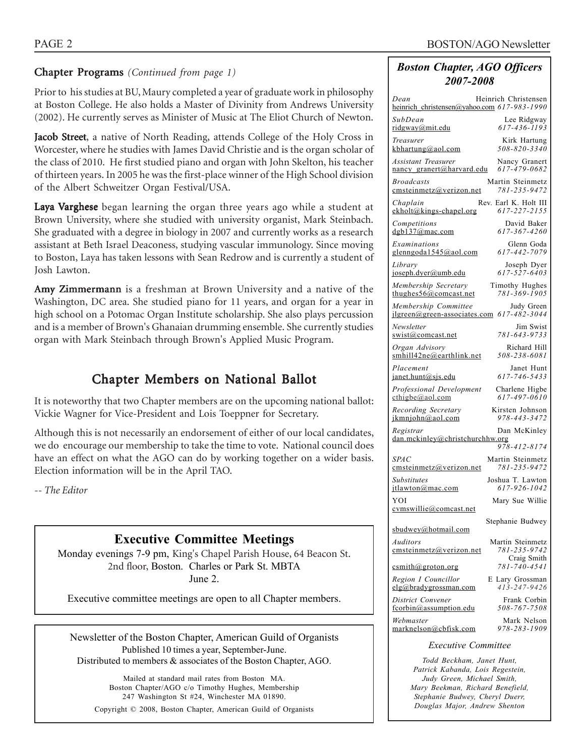### **Chapter Programs** (Continued from page 1)

Prior to his studies at BU, Maury completed a year of graduate work in philosophy at Boston College. He also holds a Master of Divinity from Andrews University (2002). He currently serves as Minister of Music at The Eliot Church of Newton.

Jacob Street, a native of North Reading, attends College of the Holy Cross in Worcester, where he studies with James David Christie and is the organ scholar of the class of 2010. He first studied piano and organ with John Skelton, his teacher of thirteen years. In 2005 he was the first-place winner of the High School division of the Albert Schweitzer Organ Festival/USA.

Laya Varghese began learning the organ three years ago while a student at Brown University, where she studied with university organist, Mark Steinbach. She graduated with a degree in biology in 2007 and currently works as a research assistant at Beth Israel Deaconess, studying vascular immunology. Since moving to Boston, Laya has taken lessons with Sean Redrow and is currently a student of Josh Lawton.

Amy Zimmermann is a freshman at Brown University and a native of the Washington, DC area. She studied piano for 11 years, and organ for a year in high school on a Potomac Organ Institute scholarship. She also plays percussion and is a member of Brown's Ghanaian drumming ensemble. She currently studies organ with Mark Steinbach through Brown's Applied Music Program.

## Chapter Members on National Ballot

It is noteworthy that two Chapter members are on the upcoming national ballot: Vickie Wagner for Vice-President and Lois Toeppner for Secretary.

Although this is not necessarily an endorsement of either of our local candidates, we do encourage our membership to take the time to vote. National council does have an effect on what the AGO can do by working together on a wider basis. Election information will be in the April TAO.

*-- The Editor*

## **Executive Committee Meetings**

Monday evenings 7-9 pm, King's Chapel Parish House, 64 Beacon St. 2nd floor, Boston. Charles or Park St. MBTA June 2.

Executive committee meetings are open to all Chapter members.

Newsletter of the Boston Chapter, American Guild of Organists Published 10 times a year, September-June. Distributed to members & associates of the Boston Chapter, AGO.

Mailed at standard mail rates from Boston MA. Boston Chapter/AGO c/o Timothy Hughes, Membership 247 Washington St #24, Winchester MA 01890. Copyright © 2008, Boston Chapter, American Guild of Organists

### *Boston Chapter, AGO Officers 2007-2008*

| Heinrich Christensen<br>Dean<br>heinrich christensen@yahoo.com 617-983-1990               |
|-------------------------------------------------------------------------------------------|
| SubDean<br>Lee Ridgway<br>$617 - 436 - 1193$<br>ridgway@mit.edu                           |
| Kirk Hartung<br>Treasurer<br>508-820-3340<br>kbhartung@aol.com                            |
| <b>Assistant Treasurer</b><br>Nancy Granert<br>617-479-0682<br>nancy_granert@harvard.edu  |
| <b>Broadcasts</b><br>Martin Steinmetz<br>781-235-9472                                     |
| emsteinmetz@verizon.net<br>Rev. Earl K. Holt III<br>Chaplain                              |
| 617-227-2155<br>$ekholt@kings-chapel.org$<br>David Baker<br>Competitions                  |
| dgb137@mac.com<br>617-367-4260<br>Examinations<br>Glenn Goda                              |
| 617-442-7079<br>glenngoda1545@aol.com<br>Library<br>Joseph Dyer                           |
| 617-527-6403<br>joseph.dyer@umb.edu<br>Membership Secretary<br>Timothy Hughes             |
| 781-369-1905<br>thughes $56$ @comcast.net<br>Membership Committee<br>Judy Green           |
| 617-482-3044<br>$ilgreen(\omega$ green-associates.com<br>Newsletter<br>Jim Swist          |
| 781-643-9733<br>swist@comcast.net                                                         |
| Organ Advisory<br>Richard Hill<br>508-238-6081<br>smhill42ne@earthlink.net                |
| Placement<br>Janet Hunt<br>617-746-5433<br>janet.hunt@sjs.edu                             |
| Professional Development<br>Charlene Higbe<br>617-497-0610<br>$\text{cthigbe}(a)$ aol.com |
| Recording Secretary<br>Kirsten Johnson<br>978-443-3472<br>ikmniohn@aol.com                |
| Registrar<br>Dan McKinley<br>dan.mckinley@christchurchhw.org<br>978-412-8174              |
| <b>SPAC</b><br>Martin Steinmetz<br>781-235-9472<br>emsteinmetz@verizon.net                |
| <b>Substitutes</b><br>Joshua T. Lawton<br>617-926-1042<br>itlawton@mac.com                |
| YOI<br>Mary Sue Willie<br>cymswillie@comcast.net                                          |
| Stephanie Budwey<br>sbudwey@hotmail.com                                                   |
| Martin Steinmetz<br><i>Auditors</i><br>781-235-9742<br>emsteinmetz@verizon.net            |
| Craig Smith<br>781-740-4541<br>csmith@groton.org                                          |
| Region I Councillor<br>E Lary Grossman<br>$413 - 247 - 9426$<br>elg@bradygrossman.com     |
| District Convener<br>Frank Corbin<br>508-767-7508<br>fcorbin@assumption.edu               |
| Mark Nelson<br>Webmaster<br>978-283-1909<br>marknelson@cbfisk.com                         |
| <b>Executive Committee</b>                                                                |

*Todd Beckham, Janet Hunt, Patrick Kabanda, Lois Regestein, Judy Green, Michael Smith, Mary Beekman, Richard Benefield, Stephanie Budwey, Cheryl Duerr, Douglas Major, Andrew Shenton*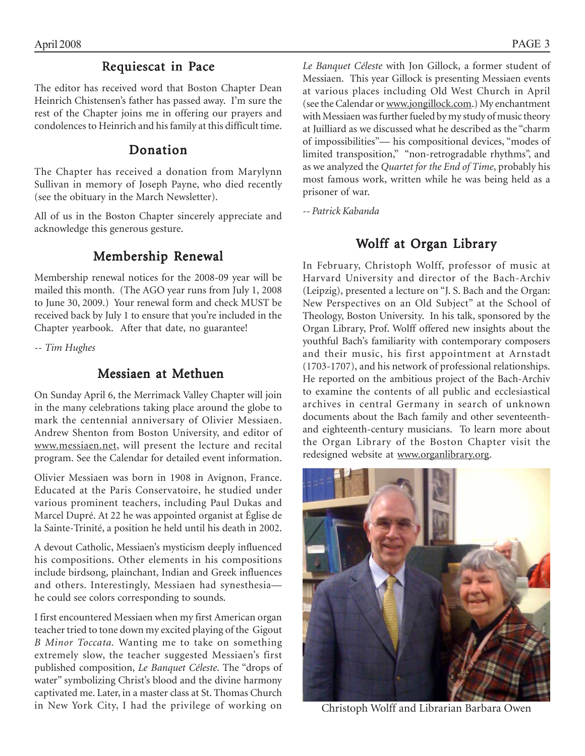## Requiescat in Pace

The editor has received word that Boston Chapter Dean Heinrich Chistensen's father has passed away. I'm sure the rest of the Chapter joins me in offering our prayers and condolences to Heinrich and his family at this difficult time.

## Donation

The Chapter has received a donation from Marylynn Sullivan in memory of Joseph Payne, who died recently (see the obituary in the March Newsletter).

All of us in the Boston Chapter sincerely appreciate and acknowledge this generous gesture.

## Membership Renewal

Membership renewal notices for the 2008-09 year will be mailed this month. (The AGO year runs from July 1, 2008 to June 30, 2009.) Your renewal form and check MUST be received back by July 1 to ensure that you're included in the Chapter yearbook. After that date, no guarantee!

*-- Tim Hughes*

## Messiaen at Methuen

On Sunday April 6, the Merrimack Valley Chapter will join in the many celebrations taking place around the globe to mark the centennial anniversary of Olivier Messiaen. Andrew Shenton from Boston University, and editor of www.messiaen.net, will present the lecture and recital program. See the Calendar for detailed event information.

Olivier Messiaen was born in 1908 in Avignon, France. Educated at the Paris Conservatoire, he studied under various prominent teachers, including Paul Dukas and Marcel Dupré. At 22 he was appointed organist at Église de la Sainte-Trinité, a position he held until his death in 2002.

A devout Catholic, Messiaen's mysticism deeply influenced his compositions. Other elements in his compositions include birdsong, plainchant, Indian and Greek influences and others. Interestingly, Messiaen had synesthesia he could see colors corresponding to sounds.

I first encountered Messiaen when my first American organ teacher tried to tone down my excited playing of the Gigout *B Minor Toccata.* Wanting me to take on something extremely slow, the teacher suggested Messiaen's first published composition, *Le Banquet Céleste*. The "drops of water" symbolizing Christ's blood and the divine harmony captivated me. Later, in a master class at St. Thomas Church in New York City, I had the privilege of working on

*Le Banquet Céleste* with Jon Gillock, a former student of Messiaen. This year Gillock is presenting Messiaen events at various places including Old West Church in April (see the Calendar or www.jongillock.com.) My enchantment with Messiaen was further fueled by my study of music theory at Juilliard as we discussed what he described as the "charm of impossibilities"— his compositional devices, "modes of limited transposition," "non-retrogradable rhythms", and as we analyzed the *Quartet for the End of Time*, probably his most famous work, written while he was being held as a prisoner of war.

*-- Patrick Kabanda*

## Wolff at Organ Library

In February, Christoph Wolff, professor of music at Harvard University and director of the Bach-Archiv (Leipzig), presented a lecture on "J. S. Bach and the Organ: New Perspectives on an Old Subject" at the School of Theology, Boston University. In his talk, sponsored by the Organ Library, Prof. Wolff offered new insights about the youthful Bach's familiarity with contemporary composers and their music, his first appointment at Arnstadt (1703-1707), and his network of professional relationships. He reported on the ambitious project of the Bach-Archiv to examine the contents of all public and ecclesiastical archives in central Germany in search of unknown documents about the Bach family and other seventeenthand eighteenth-century musicians. To learn more about the Organ Library of the Boston Chapter visit the redesigned website at www.organlibrary.org.



Christoph Wolff and Librarian Barbara Owen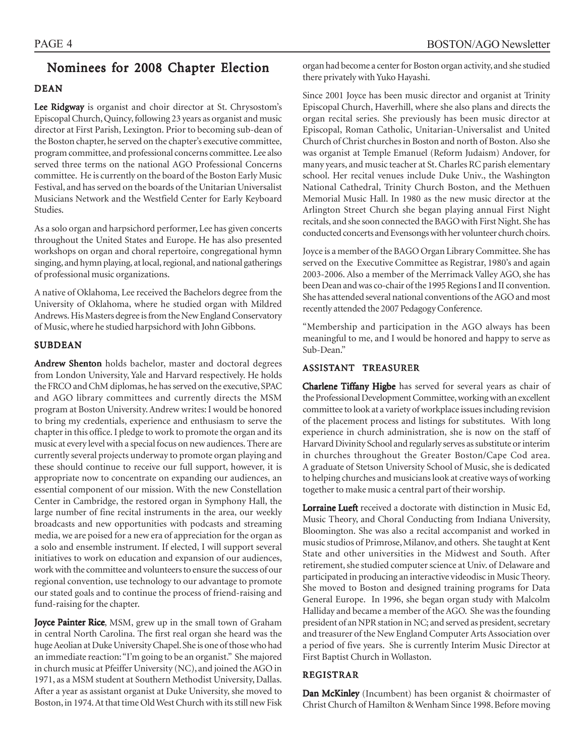## Nominees for 2008 Chapter Election

#### DEAN

Lee Ridgway is organist and choir director at St. Chrysostom's Episcopal Church, Quincy, following 23 years as organist and music director at First Parish, Lexington. Prior to becoming sub-dean of the Boston chapter, he served on the chapter's executive committee, program committee, and professional concerns committee. Lee also served three terms on the national AGO Professional Concerns committee. He is currently on the board of the Boston Early Music Festival, and has served on the boards of the Unitarian Universalist Musicians Network and the Westfield Center for Early Keyboard Studies.

As a solo organ and harpsichord performer, Lee has given concerts throughout the United States and Europe. He has also presented workshops on organ and choral repertoire, congregational hymn singing, and hymn playing, at local, regional, and national gatherings of professional music organizations.

A native of Oklahoma, Lee received the Bachelors degree from the University of Oklahoma, where he studied organ with Mildred Andrews. His Masters degree is from the New England Conservatory of Music, where he studied harpsichord with John Gibbons.

#### SUBDEAN

Andrew Shenton holds bachelor, master and doctoral degrees from London University, Yale and Harvard respectively. He holds the FRCO and ChM diplomas, he has served on the executive, SPAC and AGO library committees and currently directs the MSM program at Boston University. Andrew writes: I would be honored to bring my credentials, experience and enthusiasm to serve the chapter in this office. I pledge to work to promote the organ and its music at every level with a special focus on new audiences. There are currently several projects underway to promote organ playing and these should continue to receive our full support, however, it is appropriate now to concentrate on expanding our audiences, an essential component of our mission. With the new Constellation Center in Cambridge, the restored organ in Symphony Hall, the large number of fine recital instruments in the area, our weekly broadcasts and new opportunities with podcasts and streaming media, we are poised for a new era of appreciation for the organ as a solo and ensemble instrument. If elected, I will support several initiatives to work on education and expansion of our audiences, work with the committee and volunteers to ensure the success of our regional convention, use technology to our advantage to promote our stated goals and to continue the process of friend-raising and fund-raising for the chapter.

Joyce Painter Rice, MSM, grew up in the small town of Graham in central North Carolina. The first real organ she heard was the huge Aeolian at Duke University Chapel. She is one of those who had an immediate reaction: "I'm going to be an organist." She majored in church music at Pfeiffer University (NC), and joined the AGO in 1971, as a MSM student at Southern Methodist University, Dallas. After a year as assistant organist at Duke University, she moved to Boston, in 1974. At that time Old West Church with its still new Fisk organ had become a center for Boston organ activity, and she studied there privately with Yuko Hayashi.

Since 2001 Joyce has been music director and organist at Trinity Episcopal Church, Haverhill, where she also plans and directs the organ recital series. She previously has been music director at Episcopal, Roman Catholic, Unitarian-Universalist and United Church of Christ churches in Boston and north of Boston. Also she was organist at Temple Emanuel (Reform Judaism) Andover, for many years, and music teacher at St. Charles RC parish elementary school. Her recital venues include Duke Univ., the Washington National Cathedral, Trinity Church Boston, and the Methuen Memorial Music Hall. In 1980 as the new music director at the Arlington Street Church she began playing annual First Night recitals, and she soon connected the BAGO with First Night. She has conducted concerts and Evensongs with her volunteer church choirs.

Joyce is a member of the BAGO Organ Library Committee. She has served on the Executive Committee as Registrar, 1980's and again 2003-2006. Also a member of the Merrimack Valley AGO, she has been Dean and was co-chair of the 1995 Regions I and II convention. She has attended several national conventions of the AGO and most recently attended the 2007 Pedagogy Conference.

"Membership and participation in the AGO always has been meaningful to me, and I would be honored and happy to serve as Sub-Dean."

#### ASSISTANT TREASURER

Charlene Tiffany Higbe has served for several years as chair of the Professional Development Committee, working with an excellent committee to look at a variety of workplace issues including revision of the placement process and listings for substitutes. With long experience in church administration, she is now on the staff of Harvard Divinity School and regularly serves as substitute or interim in churches throughout the Greater Boston/Cape Cod area. A graduate of Stetson University School of Music, she is dedicated to helping churches and musicians look at creative ways of working together to make music a central part of their worship.

Lorraine Lueft received a doctorate with distinction in Music Ed, Music Theory, and Choral Conducting from Indiana University, Bloomington. She was also a recital accompanist and worked in music studios of Primrose, Milanov, and others. She taught at Kent State and other universities in the Midwest and South. After retirement, she studied computer science at Univ. of Delaware and participated in producing an interactive videodisc in Music Theory. She moved to Boston and designed training programs for Data General Europe. In 1996, she began organ study with Malcolm Halliday and became a member of the AGO. She was the founding president of an NPR station in NC; and served as president, secretary and treasurer of the New England Computer Arts Association over a period of five years. She is currently Interim Music Director at First Baptist Church in Wollaston.

#### REGISTRAR

Dan McKinley (Incumbent) has been organist & choirmaster of Christ Church of Hamilton & Wenham Since 1998. Before moving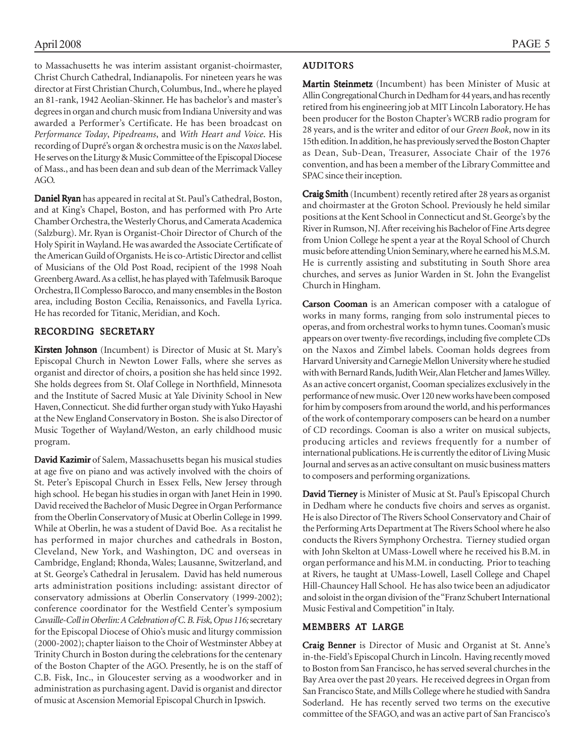to Massachusetts he was interim assistant organist-choirmaster, Christ Church Cathedral, Indianapolis. For nineteen years he was director at First Christian Church, Columbus, Ind., where he played an 81-rank, 1942 Aeolian-Skinner. He has bachelor's and master's degrees in organ and church music from Indiana University and was awarded a Performer's Certificate. He has been broadcast on *Performance Today*, *Pipedreams*, and *With Heart and Voice*. His recording of Dupré's organ & orchestra music is on the *Naxos* label. He serves on the Liturgy & Music Committee of the Episcopal Diocese of Mass., and has been dean and sub dean of the Merrimack Valley AGO.

Daniel Ryan has appeared in recital at St. Paul's Cathedral, Boston, and at King's Chapel, Boston, and has performed with Pro Arte Chamber Orchestra, the Westerly Chorus, and Camerata Academica (Salzburg). Mr. Ryan is Organist-Choir Director of Church of the Holy Spirit in Wayland. He was awarded the Associate Certificate of the American Guild of Organists. He is co-Artistic Director and cellist of Musicians of the Old Post Road, recipient of the 1998 Noah Greenberg Award. As a cellist, he has played with Tafelmusik Baroque Orchestra, Il Complesso Barocco, and many ensembles in the Boston area, including Boston Cecilia, Renaissonics, and Favella Lyrica. He has recorded for Titanic, Meridian, and Koch.

### RECORDING SECRETARY

Kirsten Johnson (Incumbent) is Director of Music at St. Mary's Episcopal Church in Newton Lower Falls, where she serves as organist and director of choirs, a position she has held since 1992. She holds degrees from St. Olaf College in Northfield, Minnesota and the Institute of Sacred Music at Yale Divinity School in New Haven, Connecticut. She did further organ study with Yuko Hayashi at the New England Conservatory in Boston. She is also Director of Music Together of Wayland/Weston, an early childhood music program.

David Kazimir of Salem, Massachusetts began his musical studies at age five on piano and was actively involved with the choirs of St. Peter's Episcopal Church in Essex Fells, New Jersey through high school. He began his studies in organ with Janet Hein in 1990. David received the Bachelor of Music Degree in Organ Performance from the Oberlin Conservatory of Music at Oberlin College in 1999. While at Oberlin, he was a student of David Boe. As a recitalist he has performed in major churches and cathedrals in Boston, Cleveland, New York, and Washington, DC and overseas in Cambridge, England; Rhonda, Wales; Lausanne, Switzerland, and at St. George's Cathedral in Jerusalem. David has held numerous arts administration positions including: assistant director of conservatory admissions at Oberlin Conservatory (1999-2002); conference coordinator for the Westfield Center's symposium *Cavaille-Coll in Oberlin: A Celebration of C. B. Fisk, Opus 116;* secretary for the Episcopal Diocese of Ohio's music and liturgy commission (2000-2002); chapter liaison to the Choir of Westminster Abbey at Trinity Church in Boston during the celebrations for the centenary of the Boston Chapter of the AGO. Presently, he is on the staff of C.B. Fisk, Inc., in Gloucester serving as a woodworker and in administration as purchasing agent. David is organist and director of music at Ascension Memorial Episcopal Church in Ipswich.

#### AUDITORS

Martin Steinmetz (Incumbent) has been Minister of Music at Allin Congregational Church in Dedham for 44 years, and has recently retired from his engineering job at MIT Lincoln Laboratory. He has been producer for the Boston Chapter's WCRB radio program for 28 years, and is the writer and editor of our *Green Book*, now in its 15th edition. In addition, he has previously served the Boston Chapter as Dean, Sub-Dean, Treasurer, Associate Chair of the 1976 convention, and has been a member of the Library Committee and SPAC since their inception.

Craig Smith (Incumbent) recently retired after 28 years as organist and choirmaster at the Groton School. Previously he held similar positions at the Kent School in Connecticut and St. George's by the River in Rumson, NJ. After receiving his Bachelor of Fine Arts degree from Union College he spent a year at the Royal School of Church music before attending Union Seminary, where he earned his M.S.M. He is currently assisting and substituting in South Shore area churches, and serves as Junior Warden in St. John the Evangelist Church in Hingham.

Carson Cooman is an American composer with a catalogue of works in many forms, ranging from solo instrumental pieces to operas, and from orchestral works to hymn tunes. Cooman's music appears on over twenty-five recordings, including five complete CDs on the Naxos and Zimbel labels. Cooman holds degrees from Harvard University and Carnegie Mellon University where he studied with with Bernard Rands, Judith Weir, Alan Fletcher and James Willey. As an active concert organist, Cooman specializes exclusively in the performance of new music. Over 120 new works have been composed for him by composers from around the world, and his performances of the work of contemporary composers can be heard on a number of CD recordings. Cooman is also a writer on musical subjects, producing articles and reviews frequently for a number of international publications. He is currently the editor of Living Music Journal and serves as an active consultant on music business matters to composers and performing organizations.

David Tierney is Minister of Music at St. Paul's Episcopal Church in Dedham where he conducts five choirs and serves as organist. He is also Director of The Rivers School Conservatory and Chair of the Performing Arts Department at The Rivers School where he also conducts the Rivers Symphony Orchestra. Tierney studied organ with John Skelton at UMass-Lowell where he received his B.M. in organ performance and his M.M. in conducting. Prior to teaching at Rivers, he taught at UMass-Lowell, Lasell College and Chapel Hill-Chauncey Hall School. He has also twice been an adjudicator and soloist in the organ division of the "Franz Schubert International Music Festival and Competition" in Italy.

#### MEMBERS AT LARGE

Craig Benner is Director of Music and Organist at St. Anne's in-the-Field's Episcopal Church in Lincoln. Having recently moved to Boston from San Francisco, he has served several churches in the Bay Area over the past 20 years. He received degrees in Organ from San Francisco State, and Mills College where he studied with Sandra Soderland. He has recently served two terms on the executive committee of the SFAGO, and was an active part of San Francisco's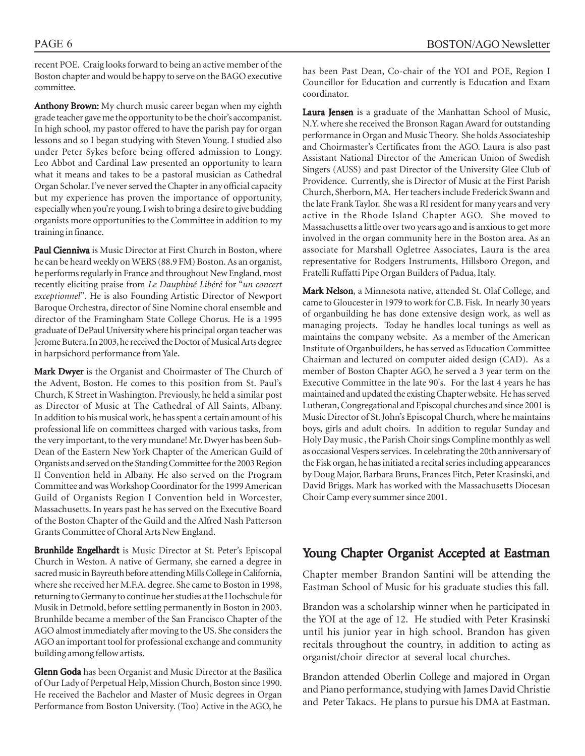recent POE. Craig looks forward to being an active member of the Boston chapter and would be happy to serve on the BAGO executive committee.

Anthony Brown: My church music career began when my eighth grade teacher gave me the opportunity to be the choir's accompanist. In high school, my pastor offered to have the parish pay for organ lessons and so I began studying with Steven Young. I studied also under Peter Sykes before being offered admission to Longy. Leo Abbot and Cardinal Law presented an opportunity to learn what it means and takes to be a pastoral musician as Cathedral Organ Scholar. I've never served the Chapter in any official capacity but my experience has proven the importance of opportunity, especially when you're young. I wish to bring a desire to give budding organists more opportunities to the Committee in addition to my training in finance.

Paul Cienniwa is Music Director at First Church in Boston, where he can be heard weekly on WERS (88.9 FM) Boston. As an organist, he performs regularly in France and throughout New England, most recently eliciting praise from *Le Dauphiné Libéré* for "*un concert exceptionnel*"*.* He is also Founding Artistic Director of Newport Baroque Orchestra, director of Sine Nomine choral ensemble and director of the Framingham State College Chorus. He is a 1995 graduate of DePaul University where his principal organ teacher was Jerome Butera. In 2003, he received the Doctor of Musical Arts degree in harpsichord performance from Yale.

Mark Dwyer is the Organist and Choirmaster of The Church of the Advent, Boston. He comes to this position from St. Paul's Church, K Street in Washington. Previously, he held a similar post as Director of Music at The Cathedral of All Saints, Albany. In addition to his musical work, he has spent a certain amount of his professional life on committees charged with various tasks, from the very important, to the very mundane! Mr. Dwyer has been Sub-Dean of the Eastern New York Chapter of the American Guild of Organists and served on the Standing Committee for the 2003 Region II Convention held in Albany. He also served on the Program Committee and was Workshop Coordinator for the 1999 American Guild of Organists Region I Convention held in Worcester, Massachusetts. In years past he has served on the Executive Board of the Boston Chapter of the Guild and the Alfred Nash Patterson Grants Committee of Choral Arts New England.

Brunhilde Engelhardt is Music Director at St. Peter's Episcopal Church in Weston. A native of Germany, she earned a degree in sacred music in Bayreuth before attending Mills College in California, where she received her M.F.A. degree. She came to Boston in 1998, returning to Germany to continue her studies at the Hochschule für Musik in Detmold, before settling permanently in Boston in 2003. Brunhilde became a member of the San Francisco Chapter of the AGO almost immediately after moving to the US. She considers the AGO an important tool for professional exchange and community building among fellow artists.

Glenn Goda has been Organist and Music Director at the Basilica of Our Lady of Perpetual Help, Mission Church, Boston since 1990. He received the Bachelor and Master of Music degrees in Organ Performance from Boston University. (Too) Active in the AGO, he has been Past Dean, Co-chair of the YOI and POE, Region I Councillor for Education and currently is Education and Exam coordinator.

Laura Jensen is a graduate of the Manhattan School of Music, N.Y. where she received the Bronson Ragan Award for outstanding performance in Organ and Music Theory. She holds Associateship and Choirmaster's Certificates from the AGO. Laura is also past Assistant National Director of the American Union of Swedish Singers (AUSS) and past Director of the University Glee Club of Providence. Currently, she is Director of Music at the First Parish Church, Sherborn, MA. Her teachers include Frederick Swann and the late Frank Taylor. She was a RI resident for many years and very active in the Rhode Island Chapter AGO. She moved to Massachusetts a little over two years ago and is anxious to get more involved in the organ community here in the Boston area. As an associate for Marshall Ogletree Associates, Laura is the area representative for Rodgers Instruments, Hillsboro Oregon, and Fratelli Ruffatti Pipe Organ Builders of Padua, Italy.

Mark Nelson, a Minnesota native, attended St. Olaf College, and came to Gloucester in 1979 to work for C.B. Fisk. In nearly 30 years of organbuilding he has done extensive design work, as well as managing projects. Today he handles local tunings as well as maintains the company website. As a member of the American Institute of Organbuilders, he has served as Education Committee Chairman and lectured on computer aided design (CAD). As a member of Boston Chapter AGO, he served a 3 year term on the Executive Committee in the late 90's. For the last 4 years he has maintained and updated the existing Chapter website. He has served Lutheran, Congregational and Episcopal churches and since 2001 is Music Director of St. John's Episcopal Church, where he maintains boys, girls and adult choirs. In addition to regular Sunday and Holy Day music , the Parish Choir sings Compline monthly as well as occasional Vespers services. In celebrating the 20th anniversary of the Fisk organ, he has initiated a recital series including appearances by Doug Major, Barbara Bruns, Frances Fitch, Peter Krasinski, and David Briggs. Mark has worked with the Massachusetts Diocesan Choir Camp every summer since 2001.

## Young Chapter Organist Accepted at Eastman

Chapter member Brandon Santini will be attending the Eastman School of Music for his graduate studies this fall.

Brandon was a scholarship winner when he participated in the YOI at the age of 12. He studied with Peter Krasinski until his junior year in high school. Brandon has given recitals throughout the country, in addition to acting as organist/choir director at several local churches.

Brandon attended Oberlin College and majored in Organ and Piano performance, studying with James David Christie and Peter Takacs. He plans to pursue his DMA at Eastman.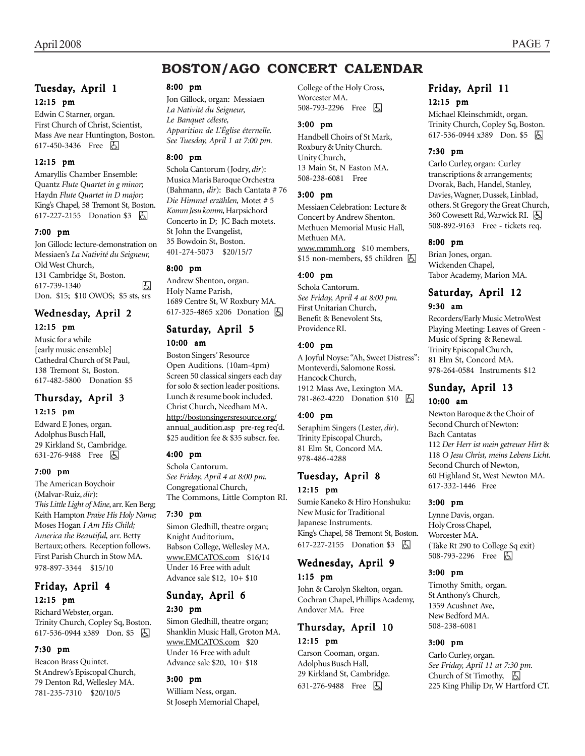## **BOSTON/AGO CONCERT CALENDAR**

#### Tuesday, April 1 12:15 pm

Edwin C Starner, organ. First Church of Christ, Scientist, Mass Ave near Huntington, Boston. 617-450-3436 Free 因

#### 12:15 pm

Amaryllis Chamber Ensemble: Quantz *Flute Quartet in g minor;* Haydn *Flute Quartet in D major;* King's Chapel, 58 Tremont St, Boston. 617-227-2155 Donation \$3 h

#### 7:00 pm

Jon Gillock: lecture-demonstration on Messiaen's *La Nativité du Seigneur,* Old West Church, 131 Cambridge St, Boston. 617-739-1340 h Don. \$15; \$10 OWOS; \$5 sts, srs

## Wednesday, April 2

## 12:15 pm

Music for a while [early music ensemble] Cathedral Church of St Paul, 138 Tremont St, Boston. 617-482-5800 Donation \$5

#### Thursday, April 3 12:15 pm

Edward E Jones, organ. Adolphus Busch Hall, 29 Kirkland St, Cambridge. 631-276-9488 Free **A** 

#### 7:00 pm

The American Boychoir (Malvar-Ruiz, *dir*): *This Little Light of Mine*, arr. Ken Berg; Keith Hampton *Praise His Holy Name;* Moses Hogan *I Am His Child; America the Beautiful,* arr. Betty Bertaux; others. Reception follows. First Parish Church in Stow MA. 978-897-3344 \$15/10

## Friday, April 4 12:15 pm

Richard Webster, organ. Trinity Church, Copley Sq, Boston. 617-536-0944 x389 Don. \$5 | A

#### 7:30 pm

Beacon Brass Quintet. St Andrew's Episcopal Church, 79 Denton Rd, Wellesley MA. 781-235-7310 \$20/10/5

#### 8:00 pm

Jon Gillock, organ: Messiaen *La Nativité du Seigneur, Le Banquet céleste, Apparition de L'Église éternelle. See Tuesday, April 1 at 7:00 pm.*

#### 8:00 pm

Schola Cantorum (Jodry, *dir*): Musica Maris Baroque Orchestra (Bahmann, *dir*): Bach Cantata # 76 *Die Himmel erzählen,* Motet # 5 *Komm Jesu komm,* Harpsichord Concerto in D; JC Bach motets. St John the Evangelist, 35 Bowdoin St, Boston. 401-274-5073 \$20/15/7

#### 8:00 pm

Andrew Shenton, organ. Holy Name Parish, 1689 Centre St, W Roxbury MA. 617-325-4865 x206 Donation h

### Saturday, April 5 10:00 am

Boston Singers' Resource

Open Auditions. (10am-4pm) Screen 50 classical singers each day for solo & section leader positions. Lunch & resume book included. Christ Church, Needham MA. http://bostonsingersresource.org/ annual\_audition.asp pre-reg req'd. \$25 audition fee & \$35 subscr. fee.

#### 4:00 pm

Schola Cantorum. *See Friday, April 4 at 8:00 pm.* Congregational Church, The Commons, Little Compton RI.

#### 7:30 pm

Simon Gledhill, theatre organ; Knight Auditorium, Babson College, Wellesley MA. www.EMCATOS.com \$16/14 Under 16 Free with adult Advance sale \$12, 10+ \$10

#### Sunday, April 6 2:30 pm

Simon Gledhill, theatre organ; Shanklin Music Hall, Groton MA. www.EMCATOS.com \$20 Under 16 Free with adult Advance sale \$20, 10+ \$18

#### 3:00 pm

William Ness, organ. St Joseph Memorial Chapel,

College of the Holy Cross, Worcester MA. 508-793-2296 Free **b** 

#### 3:00 pm

Handbell Choirs of St Mark, Roxbury & Unity Church. Unity Church, 13 Main St, N Easton MA. 508-238-6081 Free

#### 3:00 pm

Messiaen Celebration: Lecture & Concert by Andrew Shenton. Methuen Memorial Music Hall, Methuen MA.

www.mmmh.org \$10 members,  $$15$  non-members, \$5 children  $\Box$ 

#### 4:00 pm

Schola Cantorum. *See Friday, April 4 at 8:00 pm.* First Unitarian Church, Benefit & Benevolent Sts, Providence RI.

#### 4:00 pm

A Joyful Noyse: "Ah, Sweet Distress": Monteverdi, Salomone Rossi. Hancock Church, 1912 Mass Ave, Lexington MA. 781-862-4220 Donation \$10 **b** 

#### 4:00 pm

Seraphim Singers (Lester, *dir*). Trinity Episcopal Church, 81 Elm St, Concord MA. 978-486-4288

### Tuesday, April 8 12:15 pm

Sumie Kaneko & Hiro Honshuku: New Music for Traditional Japanese Instruments. King's Chapel, 58 Tremont St, Boston. 617-227-2155 Donation \$3 因

## Wednesday, April 9

#### 1:15 pm

John & Carolyn Skelton, organ. Cochran Chapel, Phillips Academy, Andover MA. Free

#### Thursday, April 10 12:15 pm

Carson Cooman, organ. Adolphus Busch Hall, 29 Kirkland St, Cambridge. 631-276-9488 Free 因

#### Friday, April 11 12:15 pm

Michael Kleinschmidt, organ. Trinity Church, Copley Sq, Boston. 617-536-0944 x389 Don. \$5 因

#### 7:30 pm

Carlo Curley, organ: Curley transcriptions & arrangements; Dvorak, Bach, Handel, Stanley, Davies, Wagner, Dussek, Linblad, others. St Gregory the Great Church, 360 Cowesett Rd, Warwick RI. **6** 508-892-9163 Free - tickets req.

#### 8:00 pm

Brian Jones, organ. Wickenden Chapel, Tabor Academy, Marion MA.

## Saturday, April 12

#### 9:30 am

Recorders/Early Music MetroWest Playing Meeting: Leaves of Green - Music of Spring & Renewal. Trinity Episcopal Church, 81 Elm St, Concord MA. 978-264-0584 Instruments \$12

## Sunday, April 13

## 10:00 am

Newton Baroque & the Choir of Second Church of Newton: Bach Cantatas 112 *Der Herr ist mein getreuer Hirt* & 118 *O Jesu Christ, meins Lebens Licht.* Second Church of Newton, 60 Highland St, West Newton MA. 617-332-1446 Free

#### 3:00 pm

Lynne Davis, organ. Holy Cross Chapel, Worcester MA. (Take Rt 290 to College Sq exit) 508-793-2296 Free **b** 

#### 3:00 pm

Timothy Smith, organ. St Anthony's Church, 1359 Acushnet Ave, New Bedford MA. 508-238-6081

#### 3:00 pm

Carlo Curley, organ. *See Friday, April 11 at 7:30 pm.* Church of St Timothy,  $\Box$ 225 King Philip Dr, W Hartford CT.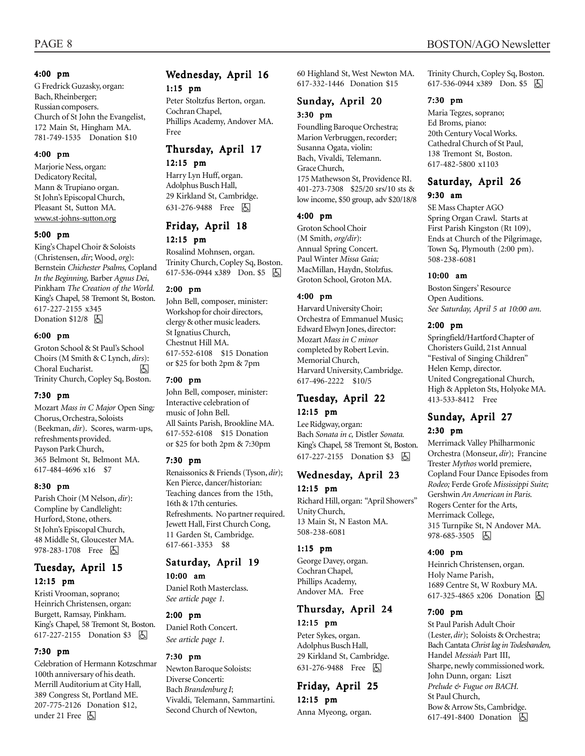#### 4:00 pm

G Fredrick Guzasky, organ: Bach, Rheinberger; Russian composers. Church of St John the Evangelist, 172 Main St, Hingham MA. 781-749-1535 Donation \$10

#### 4:00 pm

Marjorie Ness, organ: Dedicatory Recital, Mann & Trupiano organ. St John's Episcopal Church, Pleasant St, Sutton MA. www.st-johns-sutton.org

#### 5:00 pm

King's Chapel Choir & Soloists (Christensen, *dir*; Wood, *org*): Bernstein *Chichester Psalms,* Copland *In the Beginning,* Barber *Agnus Dei*, Pinkham *The Creation of the World.* King's Chapel, 58 Tremont St, Boston. 617-227-2155 x345 Donation  $$12/8$   $\Box$ 

#### 6:00 pm

Groton School & St Paul's School Choirs (M Smith & C Lynch, *dirs*): Choral Eucharist. Trinity Church, Copley Sq, Boston.

#### 7:30 pm

Mozart *Mass in C Major* Open Sing*:* Chorus, Orchestra, Soloists (Beekman, *dir*). Scores, warm-ups, refreshments provided. Payson Park Church, 365 Belmont St, Belmont MA. 617-484-4696 x16 \$7

#### 8:30 pm

Parish Choir (M Nelson, *dir*): Compline by Candlelight: Hurford, Stone, others. St John's Episcopal Church, 48 Middle St, Gloucester MA. 978-283-1708 Free 因

#### Tuesday, April 15 12:15 pm

Kristi Vrooman, soprano; Heinrich Christensen, organ: Burgett, Ramsay, Pinkham. King's Chapel, 58 Tremont St, Boston. 617-227-2155 Donation \$3 | A

#### 7:30 pm

Celebration of Hermann Kotzschmar 100th anniversary of his death. Merrill Auditorium at City Hall, 389 Congress St, Portland ME. 207-775-2126 Donation \$12, under 21 Free  $\boxed{6}$ 

#### Wednesday, April 16 1:15 pm

Peter Stoltzfus Berton, organ. Cochran Chapel, Phillips Academy, Andover MA. Free

#### Thursday, April 17 12:15 pm

Harry Lyn Huff, organ. Adolphus Busch Hall, 29 Kirkland St, Cambridge. 631-276-9488 Free 因

## Friday, April 18

#### 12:15 pm

Rosalind Mohnsen, organ. Trinity Church, Copley Sq, Boston. 617-536-0944 x389 Don. \$5 &

#### 2:00 pm

John Bell, composer, minister: Workshop for choir directors, clergy & other music leaders. St Ignatius Church, Chestnut Hill MA. 617-552-6108 \$15 Donation or \$25 for both 2pm & 7pm

#### 7:00 pm

John Bell, composer, minister: Interactive celebration of music of John Bell. All Saints Parish, Brookline MA. 617-552-6108 \$15 Donation or \$25 for both 2pm & 7:30pm

#### 7:30 pm

Renaissonics & Friends (Tyson, *dir*); Ken Pierce, dancer/historian: Teaching dances from the 15th, 16th & 17th centuries. Refreshments. No partner required. Jewett Hall, First Church Cong, 11 Garden St, Cambridge. 617-661-3353 \$8

#### Saturday, April 19 10:00 am

Daniel Roth Masterclass. *See article page 1.*

#### 2:00 pm

Daniel Roth Concert. *See article page 1.*

#### 7:30 pm

Newton Baroque Soloists: Diverse Concerti: Bach *Brandenburg I*; Vivaldi, Telemann, Sammartini. Second Church of Newton,

60 Highland St, West Newton MA. 617-332-1446 Donation \$15

#### Sunday, April 20 3:30 pm

Foundling Baroque Orchestra; Marion Verbruggen, recorder; Susanna Ogata, violin: Bach, Vivaldi, Telemann. Grace Church, 175 Mathewson St, Providence RI. 401-273-7308 \$25/20 srs/10 sts & low income, \$50 group, adv \$20/18/8

#### 4:00 pm

Groton School Choir (M Smith, *org/dir*): Annual Spring Concert. Paul Winter *Missa Gaia;* MacMillan, Haydn, Stolzfus. Groton School, Groton MA.

#### 4:00 pm

Harvard University Choir; Orchestra of Emmanuel Music; Edward Elwyn Jones, director: Mozart *Mass in C minor* completed by Robert Levin. Memorial Church, Harvard University, Cambridge. 617-496-2222 \$10/5

#### Tuesday, April 22 12:15 pm

Lee Ridgway, organ: Bach *Sonata in c,* Distler *Sonata.* King's Chapel, 58 Tremont St, Boston. 617-227-2155 Donation \$3 因

#### Wednesday, April 23 12:15 pm

Richard Hill, organ: "April Showers" Unity Church, 13 Main St, N Easton MA. 508-238-6081

#### 1:15 pm

George Davey, organ. Cochran Chapel, Phillips Academy, Andover MA. Free

### Thursday, April 24

### 12:15 pm

Peter Sykes, organ. Adolphus Busch Hall, 29 Kirkland St, Cambridge. 631-276-9488 Free 因

Friday, April 25 12:15 pm Anna Myeong, organ.

Trinity Church, Copley Sq, Boston. 617-536-0944 x389 Don. \$5 因

#### 7:30 pm

Maria Tegzes, soprano; Ed Broms, piano: 20th Century Vocal Works. Cathedral Church of St Paul, 138 Tremont St, Boston. 617-482-5800 x1103

#### Saturday, April 26 9:30 am

SE Mass Chapter AGO Spring Organ Crawl. Starts at First Parish Kingston (Rt 109), Ends at Church of the Pilgrimage, Town Sq, Plymouth (2:00 pm). 508-238-6081

#### 10:00 am

Boston Singers' Resource Open Auditions. *See Saturday, April 5 at 10:00 am.*

#### 2:00 pm

Springfield/Hartford Chapter of Choristers Guild, 21st Annual "Festival of Singing Children" Helen Kemp, director. United Congregational Church, High & Appleton Sts, Holyoke MA. 413-533-8412 Free

#### Sunday, April 27 2:30 pm

Merrimack Valley Philharmonic Orchestra (Monseur, *dir*); Francine Trester *Mythos* world premiere, Copland Four Dance Episodes from *Rodeo;* Ferde Grofe *Mississippi Suite;* Gershwin *An American in Paris.* Rogers Center for the Arts, Merrimack College, 315 Turnpike St, N Andover MA. 978-685-3505 固

#### 4:00 pm

Heinrich Christensen, organ. Holy Name Parish, 1689 Centre St, W Roxbury MA. 617-325-4865 x206 Donation  $\boxed{6}$ 

#### 7:00 pm

St Paul Parish Adult Choir (Lester, *dir*); Soloists & Orchestra; Bach Cantata *Christ lag in Todesbanden,* Handel *Messiah* Part III, Sharpe, newly commissioned work. John Dunn, organ: Liszt *Prelude & Fugue on BACH.* St Paul Church, Bow & Arrow Sts, Cambridge. 617-491-8400 Donation **b**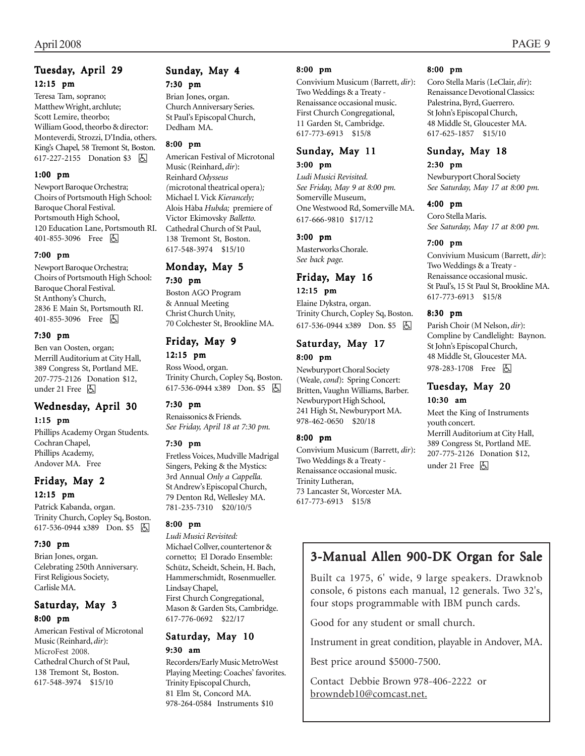### Tuesday, April 29 12:15 pm

Teresa Tam, soprano; Matthew Wright, archlute; Scott Lemire, theorbo; William Good, theorbo & director: Monteverdi, Strozzi, D'India, others. King's Chapel, 58 Tremont St, Boston. 617-227-2155 Donation \$3 **b** 

#### 1:00 pm

Newport Baroque Orchestra; Choirs of Portsmouth High School: Baroque Choral Festival. Portsmouth High School, 120 Education Lane, Portsmouth RI. 401-855-3096 Free 因

#### 7:00 pm

Newport Baroque Orchestra; Choirs of Portsmouth High School: Baroque Choral Festival. St Anthony's Church, 2836 E Main St, Portsmouth RI. 401-855-3096 Free 因

#### 7:30 pm

Ben van Oosten, organ; Merrill Auditorium at City Hall, 389 Congress St, Portland ME. 207-775-2126 Donation \$12, under 21 Free 因

#### Wednesday, April 30

#### 1:15 pm

Phillips Academy Organ Students. Cochran Chapel, Phillips Academy, Andover MA. Free

### Friday, May 2

#### 12:15 pm

Patrick Kabanda, organ. Trinity Church, Copley Sq, Boston. 617-536-0944 x389 Don. \$5

#### 7:30 pm

Brian Jones, organ. Celebrating 250th Anniversary. First Religious Society, Carlisle MA.

#### Saturday, May 3 8:00 pm

American Festival of Microtonal Music (Reinhard, *dir*): MicroFest 2008. Cathedral Church of St Paul, 138 Tremont St, Boston. 617-548-3974 \$15/10

## Sunday, May 4

7:30 pm Brian Jones, organ. Church Anniversary Series. St Paul's Episcopal Church, Dedham MA.

#### 8:00 pm

American Festival of Microtonal Music (Reinhard, *dir*): Reinhard *Odysseus (*microtonal theatrical opera)*;* Michael L Vick *Kierancely;* Alois Hàba *Hubda;* premiere of Victor Ekimovsky *Balletto.* Cathedral Church of St Paul, 138 Tremont St, Boston. 617-548-3974 \$15/10

## Monday, May 5

#### 7:30 pm

Boston AGO Program & Annual Meeting Christ Church Unity, 70 Colchester St, Brookline MA.

## Friday, May 9

12:15 pm Ross Wood, organ. Trinity Church, Copley Sq, Boston. 617-536-0944 x389 Don. \$5 因

#### 7:30 pm

Renaissonics & Friends. *See Friday, April 18 at 7:30 pm.*

#### 7:30 pm

Fretless Voices, Mudville Madrigal Singers, Peking & the Mystics: 3rd Annual *Only a Cappella.* St Andrew's Episcopal Church, 79 Denton Rd, Wellesley MA. 781-235-7310 \$20/10/5

#### 8:00 pm

*Ludi Musici Revisited:* Michael Collver, countertenor & cornetto; El Dorado Ensemble: Schütz, Scheidt, Schein, H. Bach, Hammerschmidt, Rosenmueller. Lindsay Chapel, First Church Congregational, Mason & Garden Sts, Cambridge. 617-776-0692 \$22/17

#### Saturday, May 10 9:30 am

Recorders/Early Music MetroWest Playing Meeting: Coaches' favorites. Trinity Episcopal Church, 81 Elm St, Concord MA. 978-264-0584 Instruments \$10

#### 8:00 pm

Convivium Musicum (Barrett, *dir*): Two Weddings & a Treaty - Renaissance occasional music. First Church Congregational, 11 Garden St, Cambridge. 617-773-6913 \$15/8

### Sunday, May 11

#### 3:00 pm

*Ludi Musici Revisited. See Friday, May 9 at 8:00 pm.* Somerville Museum, One Westwood Rd, Somerville MA. 617-666-9810 \$17/12

#### 3:00 pm

#### Masterworks Chorale. *See back page.* Friday, May 16

#### 12:15 pm

Elaine Dykstra, organ. Trinity Church, Copley Sq, Boston. 617-536-0944 x389 Don. \$5 h

#### Saturday, May 17 8:00 pm

Newburyport Choral Society (Weale, *cond*): Spring Concert: Britten, Vaughn Williams, Barber. Newburyport High School, 241 High St, Newburyport MA. 978-462-0650 \$20/18

#### 8:00 pm

Convivium Musicum (Barrett, *dir*): Two Weddings & a Treaty - Renaissance occasional music. Trinity Lutheran, 73 Lancaster St, Worcester MA. 617-773-6913 \$15/8

#### 8:00 pm

Coro Stella Maris (LeClair, *dir*): Renaissance Devotional Classics: Palestrina, Byrd, Guerrero. St John's Episcopal Church, 48 Middle St, Gloucester MA. 617-625-1857 \$15/10

## Sunday, May 18

#### 2:30 pm

Newburyport Choral Society *See Saturday, May 17 at 8:00 pm.*

#### 4:00 pm

Coro Stella Maris. *See Saturday, May 17 at 8:00 pm.*

#### 7:00 pm

Convivium Musicum (Barrett, *dir*): Two Weddings & a Treaty - Renaissance occasional music. St Paul's, 15 St Paul St, Brookline MA. 617-773-6913 \$15/8

#### 8:30 pm

Parish Choir (M Nelson, *dir*): Compline by Candlelight: Baynon. St John's Episcopal Church, 48 Middle St, Gloucester MA. 978-283-1708 Free 因

## Tuesday, May 20

#### 10:30 am

Meet the King of Instruments youth concert. Merrill Auditorium at City Hall, 389 Congress St, Portland ME. 207-775-2126 Donation \$12, under 21 Free 因

## 3-Manual Allen 900-DK Organ for Sale

Built ca 1975, 6' wide, 9 large speakers. Drawknob console, 6 pistons each manual, 12 generals. Two 32's, four stops programmable with IBM punch cards.

Good for any student or small church.

Instrument in great condition, playable in Andover, MA.

Best price around \$5000-7500.

Contact Debbie Brown 978-406-2222 or browndeb10@comcast.net.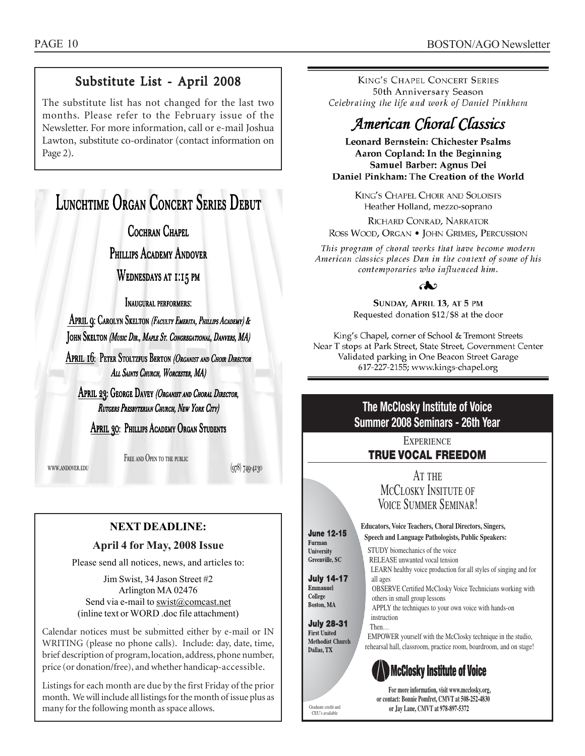## Substitute List - April 2008

The substitute list has not changed for the last two months. Please refer to the February issue of the Newsletter. For more information, call or e-mail Joshua Lawton, substitute co-ordinator (contact information on Page 2).

## Lunchtime Organ Concert Series Debut

COCHRAN CHAPEL

Phillips Academy Andover

WEDNESDAYS AT 1:15 PM

Inaugural performers:

APRIL 9: CAROLYN SKELTON (FACULTY EMERITA, PHILLIPS ACADEMY) & John Skelton *(Music Dir., Maple St. Congregational, Danvers, MA)* 

April 16: Peter Stoltzfus Berton *(Organist and Choir Director* ALL SAINTS CHURCH, WORCESTER, MA)

APRIL 23: GEORGE DAVEY (ORGANIST AND CHORAL DIRECTOR, RUTGERS PRESBYTERIAN CHURCH, NEW YORK CITY)

April 30: Phillips Academy Organ Students

www.andover.edu

FREE AND OPEN TO THE PUBLIC

(978) 749-4130

## **NEXT DEADLINE:**

#### **April 4 for May, 2008 Issue**

Please send all notices, news, and articles to:

Jim Swist, 34 Jason Street #2 Arlington MA 02476 Send via e-mail to swist@comcast.net (inline text or WORD .doc file attachment)

. Calendar notices must be submitted either by e-mail or IN WRITING (please no phone calls). Include: day, date, time, brief description of program, location, address, phone number, price (or donation/free), and whether handicap-accessible.

Listings for each month are due by the first Friday of the prior month. We will include all listings for the month of issue plus as many for the following month as space allows.

**KING'S CHAPEL CONCERT SERIES** 50th Anniversary Season Celebrating the life and work of Daniel Pinkham

## American Choral Classics

Leonard Bernstein: Chichester Psalms Aaron Copland: In the Beginning Samuel Barber: Agnus Dei Daniel Pinkham: The Creation of the World

> KING'S CHAPEL CHOIR AND SOLOISTS Heather Holland, mezzo-soprano

RICHARD CONRAD, NARRATOR ROSS WOOD, ORGAN . JOHN GRIMES, PERCUSSION

This program of choral works that have become modern American classics places Dan in the context of some of his contemporaries who influenced him.

കാ

SUNDAY, APRIL 13, AT 5 PM Requested donation \$12/\$8 at the door

King's Chapel, corner of School & Tremont Streets Near T stops at Park Street, State Street, Government Center Validated parking in One Beacon Street Garage 617-227-2155; www.kings-chapel.org

## **The McClosky Institute of Voice Summer 2008 Seminars - 26th Year**

**EXPERIENCE** 

## **TRUE VOCAL FREEDOM**

AT THE MCCLOSKY INSITUTE OF Voice Summer Seminar!

LEARN healthy voice production for all styles of singing and for

OBSERVE Certified McClosky Voice Technicians working with

EMPOWER yourself with the McClosky technique in the studio, rehearsal hall, classroom, practice room, boardroom, and on stage!

APPLY the techniques to your own voice with hands-on

STUDY biomechanics of the voice RELEASE unwanted vocal tension

others in small group lessons

**Educators, Voice Teachers, Choral Directors, Singers, June 12-15 Speech and Language Pathologists, Public Speakers:**

all ages

instruction Then…

Furman University Greenville, SC

**July 14-17** Emmanuel College **Boston, MA** 

**July 28-31** 

**First United Methodist Church** Dallas, TX



**For more information, visit www.mcclosky.org, or contact: Bonnie Pomfret, CMVT at 508-252-4830** Graduate credit and<br> **or Jay Lane, CMVT at 978-897-5372** 

CEU's available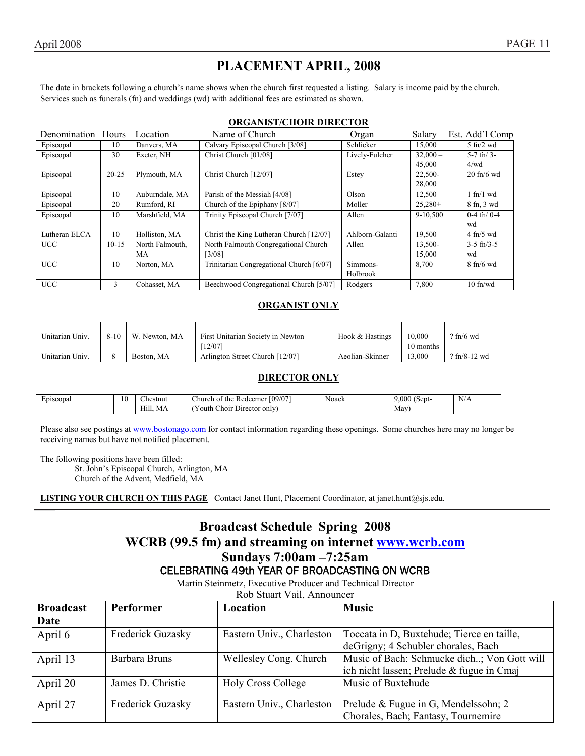## **PLACEMENT APRIL, 2008**

The date in brackets following a church's name shows when the church first requested a listing. Salary is income paid by the church. Services such as funerals (fn) and weddings (wd) with additional fees are estimated as shown.

#### **ORGANIST/CHOIR DIRECTOR**

| Denomination Hours |           | Location        | Name of Church                           | Organ           | Salary     | Est. Add'l Comp             |
|--------------------|-----------|-----------------|------------------------------------------|-----------------|------------|-----------------------------|
| Episcopal          | 10        | Danvers, MA     | Calvary Episcopal Church [3/08]          | Schlicker       | 15,000     | $5 \text{ ft}$ /2 wd        |
| Episcopal          | 30        | Exeter, NH      | Christ Church [01/08]                    | Lively-Fulcher  | $32,000 -$ | $5-7$ fn/ $3-$              |
|                    |           |                 |                                          |                 | 45,000     | 4/wd                        |
| Episcopal          | $20 - 25$ | Plymouth, MA    | Christ Church [12/07]                    | Estey           | 22,500-    | $20$ fn/6 wd                |
|                    |           |                 |                                          |                 | 28,000     |                             |
| Episcopal          | 10        | Auburndale, MA  | Parish of the Messiah [4/08]             | Olson           | 12,500     | 1 fn/1 wd                   |
| Episcopal          | 20        | Rumford, RI     | Church of the Epiphany [8/07]            | Moller          | $25,280+$  | 8 fn, 3 wd                  |
| Episcopal          | 10        | Marshfield, MA  | Trinity Episcopal Church [7/07]          | Allen           | 9-10,500   | $0-4$ fn/ $0-4$             |
|                    |           |                 |                                          |                 |            | wd                          |
| Lutheran ELCA      | 10        | Holliston, MA   | Christ the King Lutheran Church [12/07]  | Ahlborn-Galanti | 19,500     | $4$ fn/5 wd                 |
| <b>UCC</b>         | $10-15$   | North Falmouth, | North Falmouth Congregational Church     | Allen           | 13,500-    | $3-5$ fn/ $3-5$             |
|                    |           | МA              | [3/08]                                   |                 | 15.000     | wd                          |
| <b>UCC</b>         | 10        | Norton, MA      | Trinitarian Congregational Church [6/07] | Simmons-        | 8,700      | $8 \text{ ft}/6 \text{ wd}$ |
|                    |           |                 |                                          | Holbrook        |            |                             |
| <b>UCC</b>         | 3         | Cohasset, MA    | Beechwood Congregational Church [5/07]   | Rodgers         | 7,800      | $10$ fn/wd                  |

#### **ORGANIST ONLY**

| Unitarian Univ. | $8 - 10$ | W.<br>Newton, MA | First Unitarian Society in Newton | Hook & Hastings | 10.000    | $?$ fn/6 wd    |
|-----------------|----------|------------------|-----------------------------------|-----------------|-----------|----------------|
|                 |          |                  | 12/07                             |                 | 10 months |                |
| Unitarian Univ. |          | Boston, MA       | Arlington Street Church [12/07]   | Aeolian-Skinner | 13.000    | $?$ fn/8-12 wd |

#### **DIRECTOR ONLY**

| Episcopal | 1 <sub>0</sub><br>1 Ο | $\sim$<br>∠hestnut | [09/07]<br>$\sim$<br>hurch!<br>the<br>. Redeemer<br>- OT | Noack | $\sqrt{2}$<br>9.000<br>sept is             | T<br>N/A |
|-----------|-----------------------|--------------------|----------------------------------------------------------|-------|--------------------------------------------|----------|
|           |                       | Hill.<br>IVIА      | $\sim$<br>' Director only!<br>Choir<br>outh              |       | Mav<br>and the contract of the contract of |          |

Please also see postings at www.bostonago.com for contact information regarding these openings. Some churches here may no longer be receiving names but have not notified placement.

The following positions have been filled:

St. John's Episcopal Church, Arlington, MA

Church of the Advent, Medfield, MA

**LISTING YOUR CHURCH ON THIS PAGE** Contact Janet Hunt, Placement Coordinator, at janet.hunt@sjs.edu.

## **Broadcast Schedule Spring 2008 WCRB (99.5 fm) and streaming on internet www.wcrb.com Sundays 7:00am –7:25am**  CELEBRATING 49th YEAR OF BROADCASTING ON WCRB

Martin Steinmetz, Executive Producer and Technical Director

Rob Stuart Vail, Announcer

| <b>Broadcast</b> | <b>Performer</b>         | Location                  | <b>Music</b>                                |  |
|------------------|--------------------------|---------------------------|---------------------------------------------|--|
| Date             |                          |                           |                                             |  |
| April 6          | <b>Frederick Guzasky</b> | Eastern Univ., Charleston | Toccata in D, Buxtehude; Tierce en taille,  |  |
|                  |                          |                           | deGrigny; 4 Schubler chorales, Bach         |  |
| April 13         | Barbara Bruns            | Wellesley Cong. Church    | Music of Bach: Schmucke dich; Von Gott will |  |
|                  |                          |                           | ich nicht lassen; Prelude & fugue in Cmaj   |  |
| April 20         | James D. Christie        | <b>Holy Cross College</b> | Music of Buxtehude                          |  |
|                  |                          |                           |                                             |  |
| April 27         | Frederick Guzasky        | Eastern Univ., Charleston | Prelude & Fugue in G, Mendelssohn; 2        |  |
|                  |                          |                           | Chorales, Bach; Fantasy, Tournemire         |  |